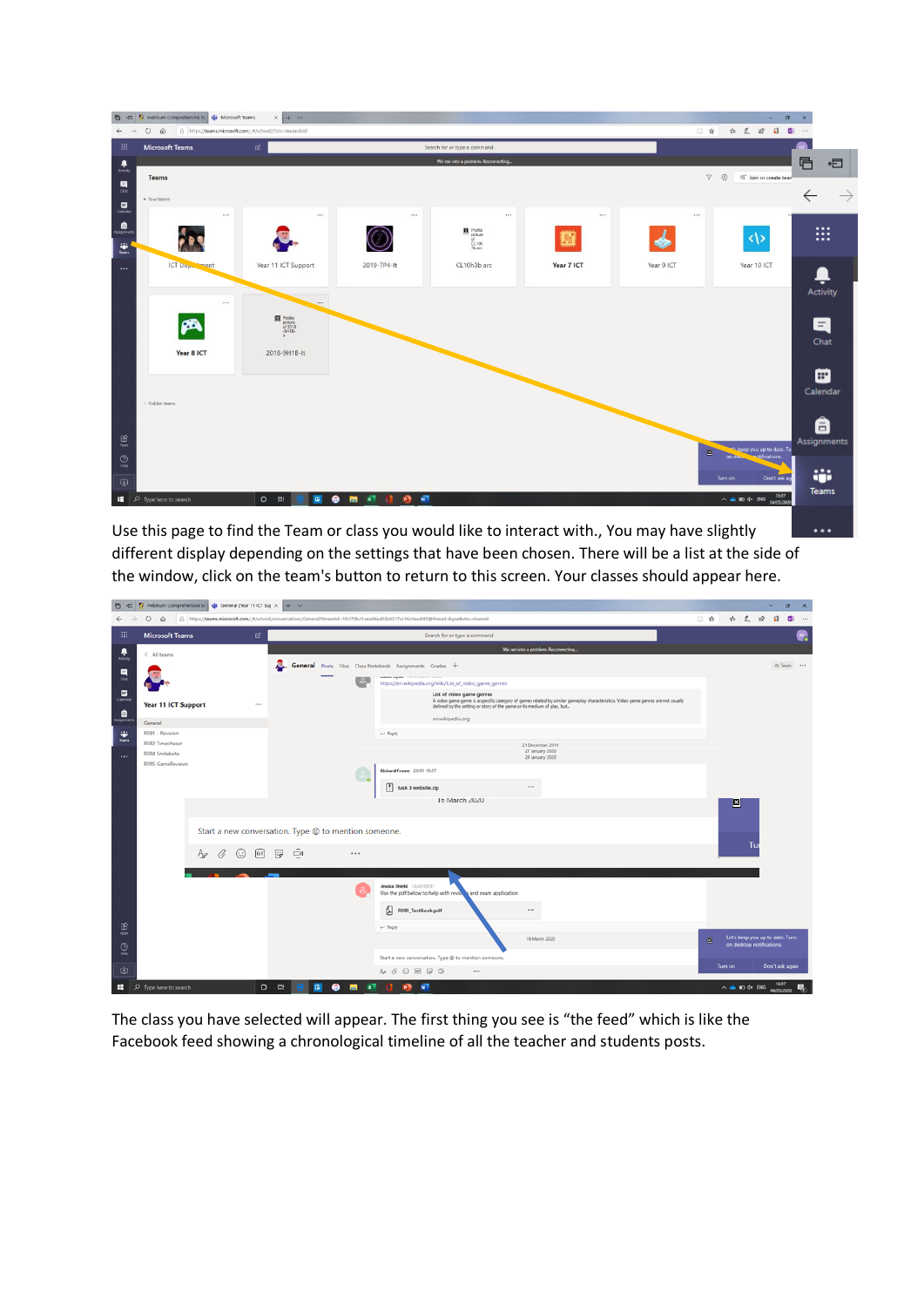

Use this page to find the Team or class you would like to interact with., You may have slightly different display depending on the settings that have been chosen. There will be a list at the side of the window, click on the team's button to return to this screen. Your classes should appear here.

..

| 西<br>$\overline{a}$  |                                                                                                                                                                  | Hebburn Comprehensive St   di General (Year 11 ICT Suj X   + V |                                                          |                                                                                                                                                                                                                                          |              |              | -                                                            | $\sigma$        | $\times$ |  |
|----------------------|------------------------------------------------------------------------------------------------------------------------------------------------------------------|----------------------------------------------------------------|----------------------------------------------------------|------------------------------------------------------------------------------------------------------------------------------------------------------------------------------------------------------------------------------------------|--------------|--------------|--------------------------------------------------------------|-----------------|----------|--|
|                      | △ https://beams.microsoft.com/_#/school/conversations/General?threadid=19:370b41aead6a403b9217cc16c0ae4f45@thread.skype8ctx=channel<br>$\circ$<br>$\hat{\omega}$ | □ ☆                                                            |                                                          | <b>ALB</b>                                                                                                                                                                                                                               | $\Box$<br>G. | $\cdots$     |                                                              |                 |          |  |
| 田                    | <b>Microsoft Teams</b>                                                                                                                                           | ප                                                              |                                                          | Search for or type a command                                                                                                                                                                                                             |              |              |                                                              |                 |          |  |
| 息                    | $\leftarrow$ All teams                                                                                                                                           |                                                                |                                                          | We ran into a problem. Reconnecting                                                                                                                                                                                                      |              |              |                                                              |                 |          |  |
| 틌                    |                                                                                                                                                                  |                                                                | General Posts Files Class Notebook Assignments Grades +  |                                                                                                                                                                                                                                          |              |              |                                                              | @ Team          |          |  |
|                      |                                                                                                                                                                  |                                                                |                                                          | <b>Publisher Property - A 2011 STAND EXECUTIVE</b><br>https://en.wikipedia.org/wiki/List_of_video_game_genres                                                                                                                            |              |              |                                                              |                 |          |  |
| $\Box$               | Year 11 ICT Support                                                                                                                                              | 1.11                                                           |                                                          | List of video game genres<br>A video game genre is a specific category of games related by similar gameplay characteristics. Video game genres are not usually<br>defined by the setting or story of the game or its medium of play, but |              |              |                                                              |                 |          |  |
| ூ                    | General                                                                                                                                                          |                                                                |                                                          | en.wikipedia.org                                                                                                                                                                                                                         |              |              |                                                              |                 |          |  |
| 崔<br><b>Teams</b>    | R081 - Revision                                                                                                                                                  |                                                                |                                                          | $\leftarrow$ Reply                                                                                                                                                                                                                       |              |              |                                                              |                 |          |  |
| $\cdots$             | R082 Timechaser<br>R084 Smilebrite                                                                                                                               |                                                                |                                                          | 21 December 2019<br>27 January 2020                                                                                                                                                                                                      |              |              |                                                              |                 |          |  |
|                      | R085 GameReviews                                                                                                                                                 |                                                                |                                                          | 29 January 2020<br>Richard Frame 29/01 13:57                                                                                                                                                                                             |              |              |                                                              |                 |          |  |
|                      |                                                                                                                                                                  |                                                                | $\sim$ 0                                                 | $\cdots$<br>task 3 website.zip                                                                                                                                                                                                           |              |              |                                                              |                 |          |  |
|                      |                                                                                                                                                                  |                                                                |                                                          | Ib March 2020                                                                                                                                                                                                                            |              |              |                                                              |                 |          |  |
|                      |                                                                                                                                                                  |                                                                |                                                          |                                                                                                                                                                                                                                          |              | $\mathbb{E}$ |                                                              |                 |          |  |
|                      |                                                                                                                                                                  |                                                                |                                                          |                                                                                                                                                                                                                                          |              |              |                                                              |                 |          |  |
|                      |                                                                                                                                                                  |                                                                |                                                          | Tu                                                                                                                                                                                                                                       |              |              |                                                              |                 |          |  |
|                      |                                                                                                                                                                  |                                                                |                                                          |                                                                                                                                                                                                                                          |              |              |                                                              |                 |          |  |
|                      |                                                                                                                                                                  |                                                                |                                                          | Jessica Shield 13/03 09:57<br>Use the pdf below to help with revising and exam application                                                                                                                                               |              |              |                                                              |                 |          |  |
|                      |                                                                                                                                                                  |                                                                |                                                          | 囥<br>R081_TextBook.pdf<br>$\cdots$                                                                                                                                                                                                       |              |              |                                                              |                 |          |  |
| $\mathbf{B}$<br>Apps |                                                                                                                                                                  |                                                                |                                                          | $\leftarrow$ Reply                                                                                                                                                                                                                       |              |              |                                                              |                 |          |  |
| $\odot$              |                                                                                                                                                                  |                                                                |                                                          | 16 March 2020                                                                                                                                                                                                                            | o            |              | Let's keep you up to date. Turn<br>on desktop notifications. |                 |          |  |
| Help                 |                                                                                                                                                                  |                                                                |                                                          | Start a new conversation. Type @ to mention someone.                                                                                                                                                                                     |              | Turn on      |                                                              | Don't ask again |          |  |
| ¢                    |                                                                                                                                                                  |                                                                |                                                          | $\begin{array}{c} \odot \ \boxtimes \ \boxtimes \ \ominus \end{array}$<br>$A_1$ $C_2$<br>$\cdots$                                                                                                                                        |              |              |                                                              |                 |          |  |
| ٠                    | $\rho$ Type here to search                                                                                                                                       | $\circ$                                                        | $\bullet$<br><b>Et</b><br>$\blacksquare$<br>$\mathbf{x}$ | W.<br>P                                                                                                                                                                                                                                  |              |              | $\wedge$ $\bullet$ 30 $\circ$ BMG 04/05/2020                 |                 | 啺        |  |

The class you have selected will appear. The first thing you see is "the feed" which is like the Facebook feed showing a chronological timeline of all the teacher and students posts.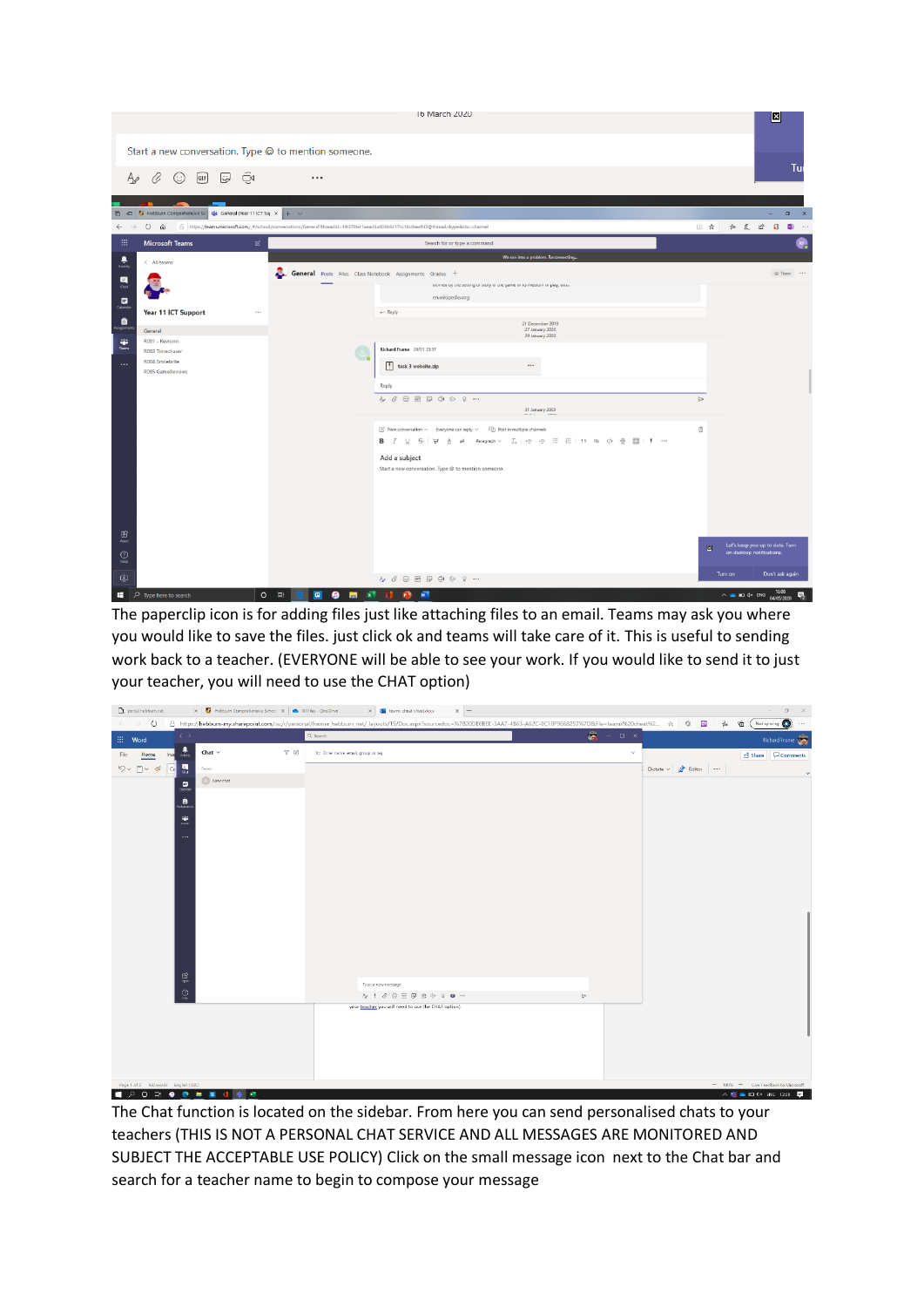

The paperclip icon is for adding files just like attaching files to an email. Teams may ask you where you would like to save the files. just click ok and teams will take care of it. This is useful to sending work back to a teacher. (EVERYONE will be able to see your work. If you would like to send it to just your teacher, you will need to use the CHAT option)

| portal.hebbum.net                                                | $\ \mathbf{x}\ $ Hebburn Comprehensive School $\ \mathbf{x}\ $ All files - OneDrive |                            | $\times$ +<br>$\times$ $\overline{\mathbf{Q}}$ teams cheat sheet docx                                                                                                     |                                     |                                | $B \times$                                                   |
|------------------------------------------------------------------|-------------------------------------------------------------------------------------|----------------------------|---------------------------------------------------------------------------------------------------------------------------------------------------------------------------|-------------------------------------|--------------------------------|--------------------------------------------------------------|
| ♦<br>$\leftarrow$                                                |                                                                                     |                            | △ https://hebburn-my.sharepoint.com/:w/r/personal/framer_hebburn_net/_layouts/15/Doc.aspx?sourcedoc=%7820DE0BEE-3AA7-4863-A62C-0C10F9668257%7D&file=teams%20cheat%2 ☆ 0 1 |                                     | $\sqrt{\omega}$                | Not syncing (C)<br>曲<br>$\cdots$                             |
| $\langle \cdot \rangle$<br>$\mathop{\mathbb{H}}\nolimits$ – Word |                                                                                     |                            | Q search                                                                                                                                                                  | 壼<br>$\Box$ $\,$ $\times$<br>$\sim$ |                                | Richard Frame                                                |
| $\frac{1}{\sqrt{2}}$<br>File<br>Home<br>Inse                     | Chat $\sim$                                                                         | $\nabla \cdot \mathcal{L}$ | To: Enter name, email, group or tag                                                                                                                                       | $\checkmark$                        |                                | Share Comments                                               |
| 틦<br>$\overline{c}$<br>門<br>$\ll$                                | <b>Becent</b>                                                                       |                            |                                                                                                                                                                           |                                     | Dictate $\sim$ $\angle$ Editor | $\checkmark$                                                 |
| $\Box$                                                           | <b>B</b> New chat                                                                   |                            |                                                                                                                                                                           |                                     |                                |                                                              |
| $\overset{\hat{\blacksquare}}{\blacksquare}$                     |                                                                                     |                            |                                                                                                                                                                           |                                     |                                |                                                              |
|                                                                  |                                                                                     |                            |                                                                                                                                                                           |                                     |                                |                                                              |
| ÷.                                                               |                                                                                     |                            |                                                                                                                                                                           |                                     |                                |                                                              |
| $\cdots$                                                         |                                                                                     |                            |                                                                                                                                                                           |                                     |                                |                                                              |
|                                                                  |                                                                                     |                            |                                                                                                                                                                           |                                     |                                |                                                              |
|                                                                  |                                                                                     |                            |                                                                                                                                                                           |                                     |                                |                                                              |
|                                                                  |                                                                                     |                            |                                                                                                                                                                           |                                     |                                |                                                              |
|                                                                  |                                                                                     |                            |                                                                                                                                                                           |                                     |                                |                                                              |
|                                                                  |                                                                                     |                            |                                                                                                                                                                           |                                     |                                |                                                              |
|                                                                  |                                                                                     |                            |                                                                                                                                                                           |                                     |                                |                                                              |
|                                                                  |                                                                                     |                            |                                                                                                                                                                           |                                     |                                |                                                              |
|                                                                  |                                                                                     |                            |                                                                                                                                                                           |                                     |                                |                                                              |
|                                                                  |                                                                                     |                            |                                                                                                                                                                           |                                     |                                |                                                              |
| $\bigoplus\limits_{\lambda\notin\mathbb{N}}$                     |                                                                                     |                            | Type a new message                                                                                                                                                        |                                     |                                |                                                              |
| $\underset{\scriptscriptstyle{\text{imp}}}{\bigcirc}$            |                                                                                     |                            | $b + 2 0 0 0 0 0 0 0 0 0 0 0$                                                                                                                                             | $\triangleright$                    |                                |                                                              |
|                                                                  |                                                                                     |                            | your teacher you will need to use the CHAT option)                                                                                                                        |                                     |                                |                                                              |
|                                                                  |                                                                                     |                            |                                                                                                                                                                           |                                     |                                |                                                              |
|                                                                  |                                                                                     |                            |                                                                                                                                                                           |                                     |                                |                                                              |
|                                                                  |                                                                                     |                            |                                                                                                                                                                           |                                     |                                |                                                              |
|                                                                  |                                                                                     |                            |                                                                                                                                                                           |                                     |                                |                                                              |
| Page 1 of 2 160 words English (U.K.)                             |                                                                                     |                            |                                                                                                                                                                           |                                     |                                | $-$ 100% $+$ Give Feedback to Microsoft                      |
| $O \nightharpoonup$ $\bullet$ $\bullet$ $\bullet$<br>$\circ$     | $\blacksquare$<br>- 11 - 12 - 12                                                    |                            |                                                                                                                                                                           |                                     |                                | $\wedge$ <b>E</b> $\triangle$ FI $\triangle$ FMG 1220 $\Box$ |

The Chat function is located on the sidebar. From here you can send personalised chats to your teachers (THIS IS NOT A PERSONAL CHAT SERVICE AND ALL MESSAGES ARE MONITORED AND SUBJECT THE ACCEPTABLE USE POLICY) Click on the small message icon next to the Chat bar and search for a teacher name to begin to compose your message